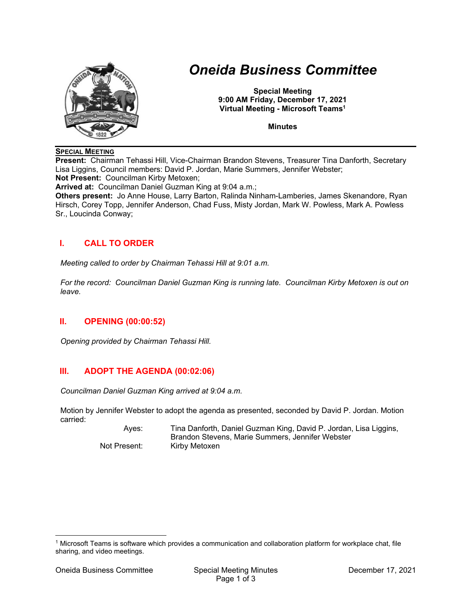

# *Oneida Business Committee*

**Special Meeting 9:00 AM Friday, December 17, 2021 Virtual Meeting - Microsoft Teams1**

**Minutes** 

#### **SPECIAL MEETING**

**Present:** Chairman Tehassi Hill, Vice-Chairman Brandon Stevens, Treasurer Tina Danforth, Secretary Lisa Liggins, Council members: David P. Jordan, Marie Summers, Jennifer Webster; **Not Present:** Councilman Kirby Metoxen;

**Arrived at:** Councilman Daniel Guzman King at 9:04 a.m.;

**Others present:** Jo Anne House, Larry Barton, Ralinda Ninham-Lamberies, James Skenandore, Ryan Hirsch, Corey Topp, Jennifer Anderson, Chad Fuss, Misty Jordan, Mark W. Powless, Mark A. Powless Sr., Loucinda Conway;

## **I. CALL TO ORDER**

*Meeting called to order by Chairman Tehassi Hill at 9:01 a.m.* 

*For the record: Councilman Daniel Guzman King is running late. Councilman Kirby Metoxen is out on leave.* 

#### **II. OPENING (00:00:52)**

*Opening provided by Chairman Tehassi Hill.* 

## **III. ADOPT THE AGENDA (00:02:06)**

*Councilman Daniel Guzman King arrived at 9:04 a.m.* 

Motion by Jennifer Webster to adopt the agenda as presented, seconded by David P. Jordan. Motion carried:

 Ayes: Tina Danforth, Daniel Guzman King, David P. Jordan, Lisa Liggins, Brandon Stevens, Marie Summers, Jennifer Webster Not Present: Kirby Metoxen

1 Microsoft Teams is software which provides a communication and collaboration platform for workplace chat, file sharing, and video meetings.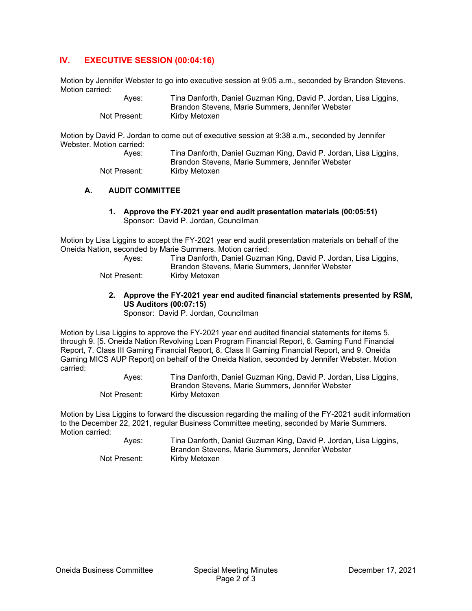## **IV. EXECUTIVE SESSION (00:04:16)**

Motion by Jennifer Webster to go into executive session at 9:05 a.m., seconded by Brandon Stevens. Motion carried:

| Aves:        | Tina Danforth, Daniel Guzman King, David P. Jordan, Lisa Liggins, |
|--------------|-------------------------------------------------------------------|
|              | Brandon Stevens, Marie Summers, Jennifer Webster                  |
| Not Present: | Kirby Metoxen                                                     |

Motion by David P. Jordan to come out of executive session at 9:38 a.m., seconded by Jennifer Webster. Motion carried:

| Aves:        | Tina Danforth, Daniel Guzman King, David P. Jordan, Lisa Liggins, |
|--------------|-------------------------------------------------------------------|
|              | Brandon Stevens, Marie Summers, Jennifer Webster                  |
| Not Present: | Kirby Metoxen                                                     |

#### **A. AUDIT COMMITTEE**

**1. Approve the FY-2021 year end audit presentation materials (00:05:51)**  Sponsor: David P. Jordan, Councilman

Motion by Lisa Liggins to accept the FY-2021 year end audit presentation materials on behalf of the Oneida Nation, seconded by Marie Summers. Motion carried:

| Aves:        | Tina Danforth, Daniel Guzman King, David P. Jordan, Lisa Liggins, |
|--------------|-------------------------------------------------------------------|
|              | Brandon Stevens, Marie Summers, Jennifer Webster                  |
| Not Present: | Kirby Metoxen                                                     |

**2. Approve the FY-2021 year end audited financial statements presented by RSM, US Auditors (00:07:15)** 

Sponsor: David P. Jordan, Councilman

Motion by Lisa Liggins to approve the FY-2021 year end audited financial statements for items 5. through 9. [5. Oneida Nation Revolving Loan Program Financial Report, 6. Gaming Fund Financial Report, 7. Class III Gaming Financial Report, 8. Class II Gaming Financial Report, and 9. Oneida Gaming MICS AUP Report] on behalf of the Oneida Nation, seconded by Jennifer Webster. Motion carried:

 Ayes: Tina Danforth, Daniel Guzman King, David P. Jordan, Lisa Liggins, Brandon Stevens, Marie Summers, Jennifer Webster Not Present: Kirby Metoxen

Motion by Lisa Liggins to forward the discussion regarding the mailing of the FY-2021 audit information to the December 22, 2021, regular Business Committee meeting, seconded by Marie Summers. Motion carried:

 Ayes: Tina Danforth, Daniel Guzman King, David P. Jordan, Lisa Liggins, Brandon Stevens, Marie Summers, Jennifer Webster Not Present: Kirby Metoxen